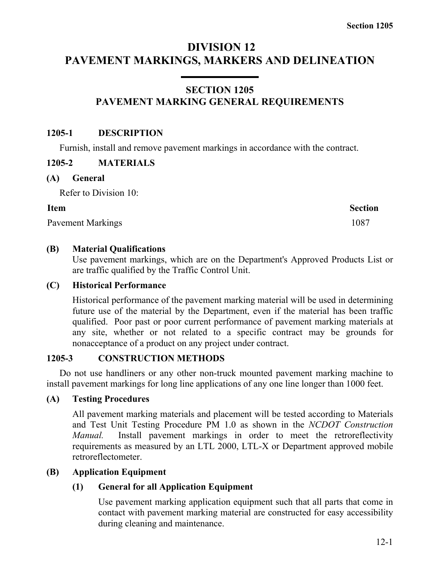# **DIVISION 12 PAVEMENT MARKINGS, MARKERS AND DELINEATION**

# **SECTION 1205 PAVEMENT MARKING GENERAL REQUIREMENTS**

#### **1205-1 DESCRIPTION**

Furnish, install and remove pavement markings in accordance with the contract.

#### **1205-2 MATERIALS**

#### **(A) General**

Refer to Division 10:

#### **Item Section**

Pavement Markings 1087

# **(B) Material Qualifications**

Use pavement markings, which are on the Department's Approved Products List or are traffic qualified by the Traffic Control Unit.

#### **(C) Historical Performance**

Historical performance of the pavement marking material will be used in determining future use of the material by the Department, even if the material has been traffic qualified. Poor past or poor current performance of pavement marking materials at any site, whether or not related to a specific contract may be grounds for nonacceptance of a product on any project under contract.

# **1205-3 CONSTRUCTION METHODS**

Do not use handliners or any other non-truck mounted pavement marking machine to install pavement markings for long line applications of any one line longer than 1000 feet.

# **(A) Testing Procedures**

All pavement marking materials and placement will be tested according to Materials and Test Unit Testing Procedure PM 1.0 as shown in the *NCDOT Construction Manual.* Install pavement markings in order to meet the retroreflectivity requirements as measured by an LTL 2000, LTL-X or Department approved mobile retroreflectometer.

# **(B) Application Equipment**

# **(1) General for all Application Equipment**

Use pavement marking application equipment such that all parts that come in contact with pavement marking material are constructed for easy accessibility during cleaning and maintenance.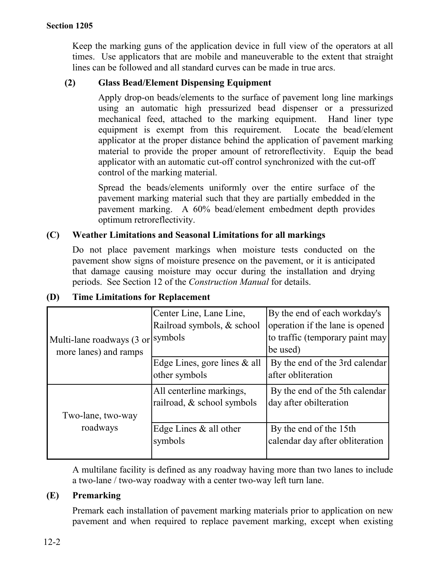Keep the marking guns of the application device in full view of the operators at all times. Use applicators that are mobile and maneuverable to the extent that straight lines can be followed and all standard curves can be made in true arcs.

# **(2) Glass Bead/Element Dispensing Equipment**

Apply drop-on beads/elements to the surface of pavement long line markings using an automatic high pressurized bead dispenser or a pressurized mechanical feed, attached to the marking equipment. Hand liner type equipment is exempt from this requirement. Locate the bead/element applicator at the proper distance behind the application of pavement marking material to provide the proper amount of retroreflectivity. Equip the bead applicator with an automatic cut-off control synchronized with the cut-off control of the marking material.

Spread the beads/elements uniformly over the entire surface of the pavement marking material such that they are partially embedded in the pavement marking. A 60% bead/element embedment depth provides optimum retroreflectivity.

# **(C) Weather Limitations and Seasonal Limitations for all markings**

Do not place pavement markings when moisture tests conducted on the pavement show signs of moisture presence on the pavement, or it is anticipated that damage causing moisture may occur during the installation and drying periods. See Section 12 of the *Construction Manual* for details.

|                           | Center Line, Lane Line,      | By the end of each workday's    |
|---------------------------|------------------------------|---------------------------------|
|                           | Railroad symbols, & school   | operation if the lane is opened |
| Multi-lane roadways (3 or | symbols                      | to traffic (temporary paint may |
| more lanes) and ramps     |                              | be used)                        |
|                           | Edge Lines, gore lines & all | By the end of the 3rd calendar  |
|                           | other symbols                | after obliteration              |
|                           | All centerline markings,     | By the end of the 5th calendar  |
|                           | railroad, & school symbols   | day after obilteration          |
| Two-lane, two-way         |                              |                                 |
| roadways                  | Edge Lines $\&$ all other    | By the end of the 15th          |
|                           | symbols                      | calendar day after obliteration |
|                           |                              |                                 |

# **(D) Time Limitations for Replacement**

A multilane facility is defined as any roadway having more than two lanes to include a two-lane / two-way roadway with a center two-way left turn lane.

# **(E) Premarking**

Premark each installation of pavement marking materials prior to application on new pavement and when required to replace pavement marking, except when existing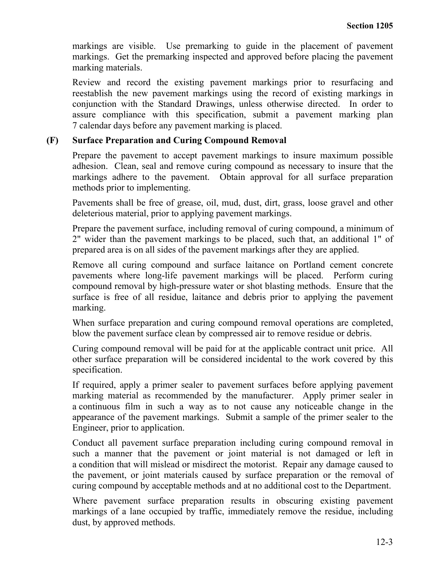markings are visible. Use premarking to guide in the placement of pavement markings. Get the premarking inspected and approved before placing the pavement marking materials.

Review and record the existing pavement markings prior to resurfacing and reestablish the new pavement markings using the record of existing markings in conjunction with the Standard Drawings, unless otherwise directed. In order to assure compliance with this specification, submit a pavement marking plan 7 calendar days before any pavement marking is placed.

#### **(F) Surface Preparation and Curing Compound Removal**

Prepare the pavement to accept pavement markings to insure maximum possible adhesion. Clean, seal and remove curing compound as necessary to insure that the markings adhere to the pavement. Obtain approval for all surface preparation methods prior to implementing.

Pavements shall be free of grease, oil, mud, dust, dirt, grass, loose gravel and other deleterious material, prior to applying pavement markings.

Prepare the pavement surface, including removal of curing compound, a minimum of 2" wider than the pavement markings to be placed, such that, an additional 1" of prepared area is on all sides of the pavement markings after they are applied.

Remove all curing compound and surface laitance on Portland cement concrete pavements where long-life pavement markings will be placed. Perform curing compound removal by high-pressure water or shot blasting methods. Ensure that the surface is free of all residue, laitance and debris prior to applying the pavement marking.

When surface preparation and curing compound removal operations are completed, blow the pavement surface clean by compressed air to remove residue or debris.

Curing compound removal will be paid for at the applicable contract unit price. All other surface preparation will be considered incidental to the work covered by this specification.

If required, apply a primer sealer to pavement surfaces before applying pavement marking material as recommended by the manufacturer. Apply primer sealer in a continuous film in such a way as to not cause any noticeable change in the appearance of the pavement markings. Submit a sample of the primer sealer to the Engineer, prior to application.

Conduct all pavement surface preparation including curing compound removal in such a manner that the pavement or joint material is not damaged or left in a condition that will mislead or misdirect the motorist. Repair any damage caused to the pavement, or joint materials caused by surface preparation or the removal of curing compound by acceptable methods and at no additional cost to the Department.

Where pavement surface preparation results in obscuring existing pavement markings of a lane occupied by traffic, immediately remove the residue, including dust, by approved methods.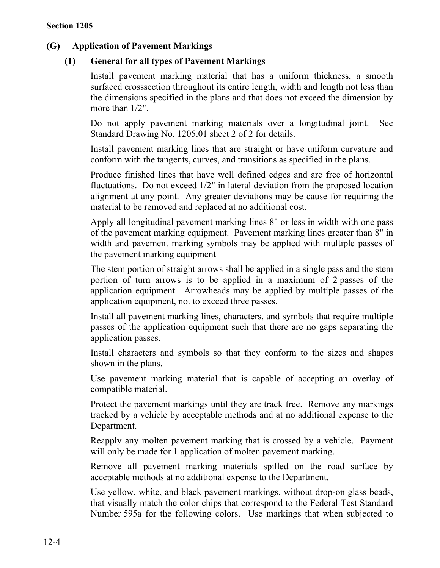# **(G) Application of Pavement Markings**

# **(1) General for all types of Pavement Markings**

Install pavement marking material that has a uniform thickness, a smooth surfaced crosssection throughout its entire length, width and length not less than the dimensions specified in the plans and that does not exceed the dimension by more than 1/2".

Do not apply pavement marking materials over a longitudinal joint. See Standard Drawing No. 1205.01 sheet 2 of 2 for details.

Install pavement marking lines that are straight or have uniform curvature and conform with the tangents, curves, and transitions as specified in the plans.

Produce finished lines that have well defined edges and are free of horizontal fluctuations. Do not exceed 1/2" in lateral deviation from the proposed location alignment at any point. Any greater deviations may be cause for requiring the material to be removed and replaced at no additional cost.

Apply all longitudinal pavement marking lines 8" or less in width with one pass of the pavement marking equipment. Pavement marking lines greater than 8" in width and pavement marking symbols may be applied with multiple passes of the pavement marking equipment

The stem portion of straight arrows shall be applied in a single pass and the stem portion of turn arrows is to be applied in a maximum of 2 passes of the application equipment. Arrowheads may be applied by multiple passes of the application equipment, not to exceed three passes.

Install all pavement marking lines, characters, and symbols that require multiple passes of the application equipment such that there are no gaps separating the application passes.

Install characters and symbols so that they conform to the sizes and shapes shown in the plans.

Use pavement marking material that is capable of accepting an overlay of compatible material.

Protect the pavement markings until they are track free. Remove any markings tracked by a vehicle by acceptable methods and at no additional expense to the Department.

Reapply any molten pavement marking that is crossed by a vehicle. Payment will only be made for 1 application of molten pavement marking.

Remove all pavement marking materials spilled on the road surface by acceptable methods at no additional expense to the Department.

Use yellow, white, and black pavement markings, without drop-on glass beads, that visually match the color chips that correspond to the Federal Test Standard Number 595a for the following colors. Use markings that when subjected to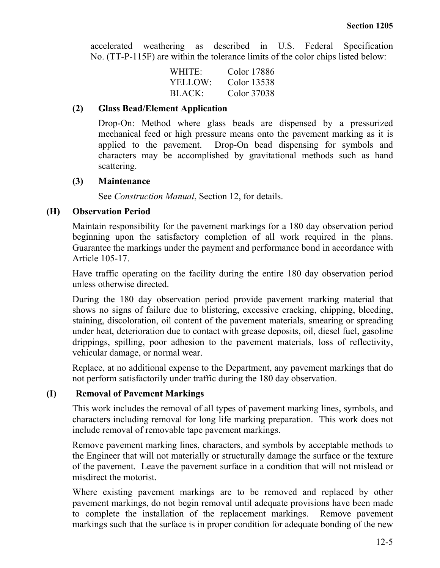accelerated weathering as described in U.S. Federal Specification No. (TT-P-115F) are within the tolerance limits of the color chips listed below:

| WHITE:        | Color 17886 |
|---------------|-------------|
| YELLOW:       | Color 13538 |
| <b>BLACK:</b> | Color 37038 |

#### **(2) Glass Bead/Element Application**

Drop-On: Method where glass beads are dispensed by a pressurized mechanical feed or high pressure means onto the pavement marking as it is applied to the pavement. Drop-On bead dispensing for symbols and characters may be accomplished by gravitational methods such as hand scattering.

#### **(3) Maintenance**

See *Construction Manual*, Section 12, for details.

#### **(H) Observation Period**

Maintain responsibility for the pavement markings for a 180 day observation period beginning upon the satisfactory completion of all work required in the plans. Guarantee the markings under the payment and performance bond in accordance with Article 105-17.

Have traffic operating on the facility during the entire 180 day observation period unless otherwise directed.

During the 180 day observation period provide pavement marking material that shows no signs of failure due to blistering, excessive cracking, chipping, bleeding, staining, discoloration, oil content of the pavement materials, smearing or spreading under heat, deterioration due to contact with grease deposits, oil, diesel fuel, gasoline drippings, spilling, poor adhesion to the pavement materials, loss of reflectivity, vehicular damage, or normal wear.

Replace, at no additional expense to the Department, any pavement markings that do not perform satisfactorily under traffic during the 180 day observation.

#### **(I) Removal of Pavement Markings**

This work includes the removal of all types of pavement marking lines, symbols, and characters including removal for long life marking preparation. This work does not include removal of removable tape pavement markings.

Remove pavement marking lines, characters, and symbols by acceptable methods to the Engineer that will not materially or structurally damage the surface or the texture of the pavement. Leave the pavement surface in a condition that will not mislead or misdirect the motorist.

Where existing pavement markings are to be removed and replaced by other pavement markings, do not begin removal until adequate provisions have been made to complete the installation of the replacement markings. Remove pavement markings such that the surface is in proper condition for adequate bonding of the new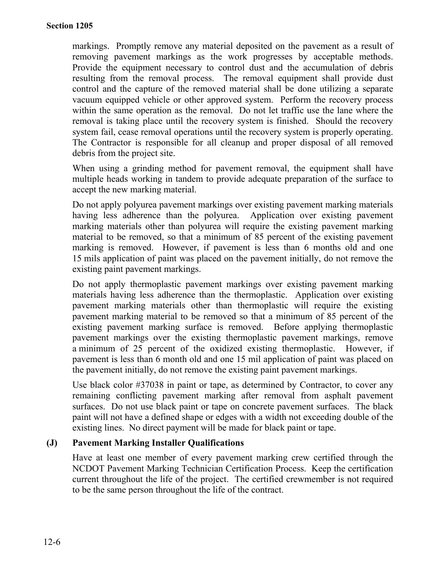markings. Promptly remove any material deposited on the pavement as a result of removing pavement markings as the work progresses by acceptable methods. Provide the equipment necessary to control dust and the accumulation of debris resulting from the removal process. The removal equipment shall provide dust control and the capture of the removed material shall be done utilizing a separate vacuum equipped vehicle or other approved system. Perform the recovery process within the same operation as the removal. Do not let traffic use the lane where the removal is taking place until the recovery system is finished. Should the recovery system fail, cease removal operations until the recovery system is properly operating. The Contractor is responsible for all cleanup and proper disposal of all removed debris from the project site.

When using a grinding method for pavement removal, the equipment shall have multiple heads working in tandem to provide adequate preparation of the surface to accept the new marking material.

Do not apply polyurea pavement markings over existing pavement marking materials having less adherence than the polyurea. Application over existing pavement marking materials other than polyurea will require the existing pavement marking material to be removed, so that a minimum of 85 percent of the existing pavement marking is removed. However, if pavement is less than 6 months old and one 15 mils application of paint was placed on the pavement initially, do not remove the existing paint pavement markings.

Do not apply thermoplastic pavement markings over existing pavement marking materials having less adherence than the thermoplastic. Application over existing pavement marking materials other than thermoplastic will require the existing pavement marking material to be removed so that a minimum of 85 percent of the existing pavement marking surface is removed. Before applying thermoplastic pavement markings over the existing thermoplastic pavement markings, remove a minimum of 25 percent of the oxidized existing thermoplastic. However, if pavement is less than 6 month old and one 15 mil application of paint was placed on the pavement initially, do not remove the existing paint pavement markings.

Use black color #37038 in paint or tape, as determined by Contractor, to cover any remaining conflicting pavement marking after removal from asphalt pavement surfaces. Do not use black paint or tape on concrete pavement surfaces. The black paint will not have a defined shape or edges with a width not exceeding double of the existing lines. No direct payment will be made for black paint or tape.

#### **(J) Pavement Marking Installer Qualifications**

Have at least one member of every pavement marking crew certified through the NCDOT Pavement Marking Technician Certification Process. Keep the certification current throughout the life of the project. The certified crewmember is not required to be the same person throughout the life of the contract.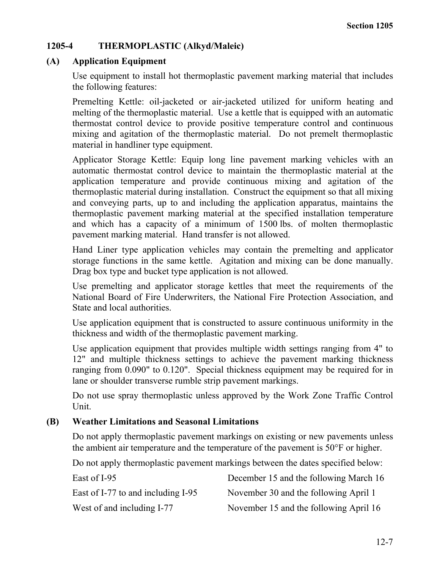# **1205-4 THERMOPLASTIC (Alkyd/Maleic)**

#### **(A) Application Equipment**

Use equipment to install hot thermoplastic pavement marking material that includes the following features:

Premelting Kettle: oil-jacketed or air-jacketed utilized for uniform heating and melting of the thermoplastic material. Use a kettle that is equipped with an automatic thermostat control device to provide positive temperature control and continuous mixing and agitation of the thermoplastic material. Do not premelt thermoplastic material in handliner type equipment.

Applicator Storage Kettle: Equip long line pavement marking vehicles with an automatic thermostat control device to maintain the thermoplastic material at the application temperature and provide continuous mixing and agitation of the thermoplastic material during installation. Construct the equipment so that all mixing and conveying parts, up to and including the application apparatus, maintains the thermoplastic pavement marking material at the specified installation temperature and which has a capacity of a minimum of 1500 lbs. of molten thermoplastic pavement marking material. Hand transfer is not allowed.

Hand Liner type application vehicles may contain the premelting and applicator storage functions in the same kettle. Agitation and mixing can be done manually. Drag box type and bucket type application is not allowed.

Use premelting and applicator storage kettles that meet the requirements of the National Board of Fire Underwriters, the National Fire Protection Association, and State and local authorities.

Use application equipment that is constructed to assure continuous uniformity in the thickness and width of the thermoplastic pavement marking.

Use application equipment that provides multiple width settings ranging from 4" to 12" and multiple thickness settings to achieve the pavement marking thickness ranging from 0.090" to 0.120". Special thickness equipment may be required for in lane or shoulder transverse rumble strip pavement markings.

Do not use spray thermoplastic unless approved by the Work Zone Traffic Control Unit.

#### **(B) Weather Limitations and Seasonal Limitations**

Do not apply thermoplastic pavement markings on existing or new pavements unless the ambient air temperature and the temperature of the pavement is 50°F or higher.

Do not apply thermoplastic pavement markings between the dates specified below:

| East of I-95                       | December 15 and the following March 16 |
|------------------------------------|----------------------------------------|
| East of I-77 to and including I-95 | November 30 and the following April 1  |
| West of and including I-77         | November 15 and the following April 16 |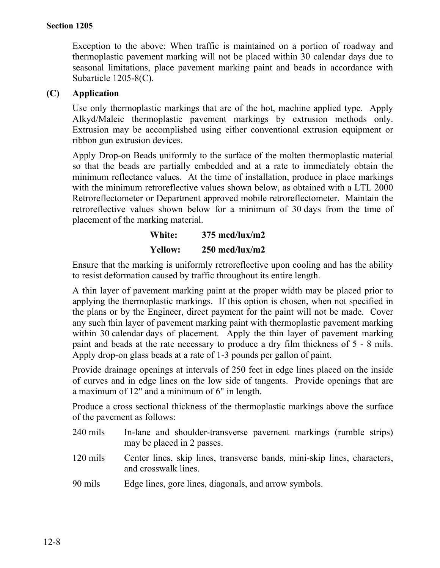Exception to the above: When traffic is maintained on a portion of roadway and thermoplastic pavement marking will not be placed within 30 calendar days due to seasonal limitations, place pavement marking paint and beads in accordance with Subarticle 1205-8(C).

#### **(C) Application**

Use only thermoplastic markings that are of the hot, machine applied type. Apply Alkyd/Maleic thermoplastic pavement markings by extrusion methods only. Extrusion may be accomplished using either conventional extrusion equipment or ribbon gun extrusion devices.

Apply Drop-on Beads uniformly to the surface of the molten thermoplastic material so that the beads are partially embedded and at a rate to immediately obtain the minimum reflectance values. At the time of installation, produce in place markings with the minimum retroreflective values shown below, as obtained with a LTL 2000 Retroreflectometer or Department approved mobile retroreflectometer. Maintain the retroreflective values shown below for a minimum of 30 days from the time of placement of the marking material.

# **White: 375 mcd/lux/m2 Yellow: 250 mcd/lux/m2**

Ensure that the marking is uniformly retroreflective upon cooling and has the ability to resist deformation caused by traffic throughout its entire length.

A thin layer of pavement marking paint at the proper width may be placed prior to applying the thermoplastic markings. If this option is chosen, when not specified in the plans or by the Engineer, direct payment for the paint will not be made. Cover any such thin layer of pavement marking paint with thermoplastic pavement marking within 30 calendar days of placement. Apply the thin layer of pavement marking paint and beads at the rate necessary to produce a dry film thickness of 5 - 8 mils. Apply drop-on glass beads at a rate of 1-3 pounds per gallon of paint.

Provide drainage openings at intervals of 250 feet in edge lines placed on the inside of curves and in edge lines on the low side of tangents. Provide openings that are a maximum of 12" and a minimum of 6" in length.

Produce a cross sectional thickness of the thermoplastic markings above the surface of the pavement as follows:

- 240 mils In-lane and shoulder-transverse pavement markings (rumble strips) may be placed in 2 passes.
- 120 mils Center lines, skip lines, transverse bands, mini-skip lines, characters, and crosswalk lines.
- 90 mils Edge lines, gore lines, diagonals, and arrow symbols.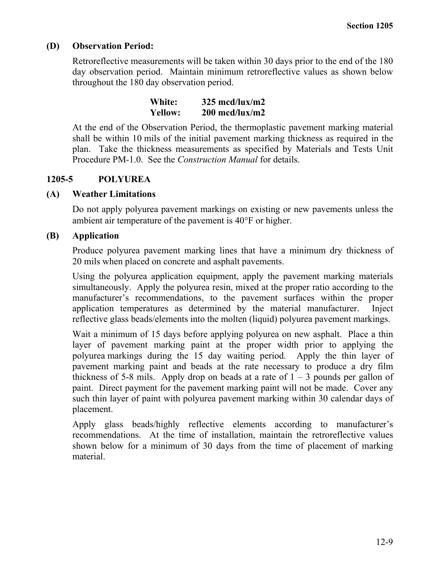#### **(D) Observation Period:**

Retroreflective measurements will be taken within 30 days prior to the end of the 180 day observation period. Maintain minimum retroreflective values as shown below throughout the 180 day observation period.

| White:         | $325 \text{ med/lux/m2}$              |
|----------------|---------------------------------------|
| <b>Yellow:</b> | $200 \text{ med}/\text{lux}/\text{m}$ |

At the end of the Observation Period, the thermoplastic pavement marking material shall be within 10 mils of the initial pavement marking thickness as required in the plan. Take the thickness measurements as specified by Materials and Tests Unit Procedure PM-1.0. See the *Construction Manual* for details.

# **1205-5 POLYUREA**

#### **(A) Weather Limitations**

Do not apply polyurea pavement markings on existing or new pavements unless the ambient air temperature of the pavement is 40°F or higher.

#### **(B) Application**

Produce polyurea pavement marking lines that have a minimum dry thickness of 20 mils when placed on concrete and asphalt pavements.

Using the polyurea application equipment, apply the pavement marking materials simultaneously. Apply the polyurea resin, mixed at the proper ratio according to the manufacturer's recommendations, to the pavement surfaces within the proper application temperatures as determined by the material manufacturer. Inject reflective glass beads/elements into the molten (liquid) polyurea pavement markings.

Wait a minimum of 15 days before applying polyurea on new asphalt. Place a thin layer of pavement marking paint at the proper width prior to applying the polyurea markings during the 15 day waiting period. Apply the thin layer of pavement marking paint and beads at the rate necessary to produce a dry film thickness of 5-8 mils. Apply drop on beads at a rate of  $1 - 3$  pounds per gallon of paint. Direct payment for the pavement marking paint will not be made. Cover any such thin layer of paint with polyurea pavement marking within 30 calendar days of placement.

Apply glass beads/highly reflective elements according to manufacturer's recommendations. At the time of installation, maintain the retroreflective values shown below for a minimum of 30 days from the time of placement of marking material.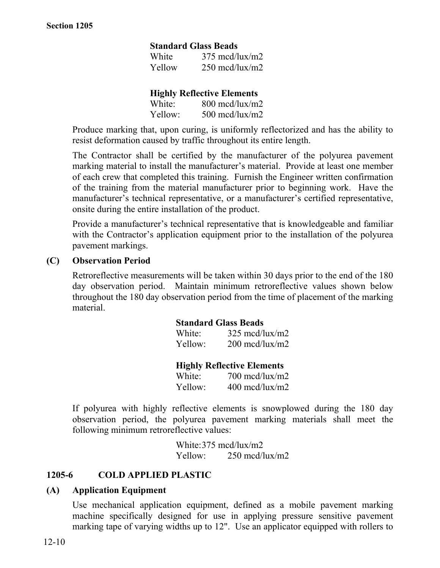#### **Standard Glass Beads**

| White  | $375 \text{ med/lux/m2}$              |
|--------|---------------------------------------|
| Yellow | $250 \text{ med}/\text{lux}/\text{m}$ |

#### **Highly Reflective Elements**

| White:  | $800 \text{ med}/\text{lux}/\text{m}$ 2 |
|---------|-----------------------------------------|
| Yellow: | $500 \text{ med}/\text{lux}/\text{m}$   |

Produce marking that, upon curing, is uniformly reflectorized and has the ability to resist deformation caused by traffic throughout its entire length.

The Contractor shall be certified by the manufacturer of the polyurea pavement marking material to install the manufacturer's material. Provide at least one member of each crew that completed this training. Furnish the Engineer written confirmation of the training from the material manufacturer prior to beginning work. Have the manufacturer's technical representative, or a manufacturer's certified representative, onsite during the entire installation of the product.

Provide a manufacturer's technical representative that is knowledgeable and familiar with the Contractor's application equipment prior to the installation of the polyurea pavement markings.

#### **(C) Observation Period**

Retroreflective measurements will be taken within 30 days prior to the end of the 180 day observation period. Maintain minimum retroreflective values shown below throughout the 180 day observation period from the time of placement of the marking material.

#### **Standard Glass Beads**

| White:  | $325 \text{ med/lux/m2}$              |
|---------|---------------------------------------|
| Yellow: | $200 \text{ med}/\text{lux}/\text{m}$ |

**Highly Reflective Elements**

| White:  | $700 \text{ med}/\text{lux}/\text{m}$   |
|---------|-----------------------------------------|
| Yellow: | $400 \text{ med}/\text{lux}/\text{m}$ 2 |

If polyurea with highly reflective elements is snowplowed during the 180 day observation period, the polyurea pavement marking materials shall meet the following minimum retroreflective values:

> White:375 mcd/lux/m2 Yellow: 250 mcd/lux/m2

#### **1205-6 COLD APPLIED PLASTIC**

#### **(A) Application Equipment**

Use mechanical application equipment, defined as a mobile pavement marking machine specifically designed for use in applying pressure sensitive pavement marking tape of varying widths up to 12". Use an applicator equipped with rollers to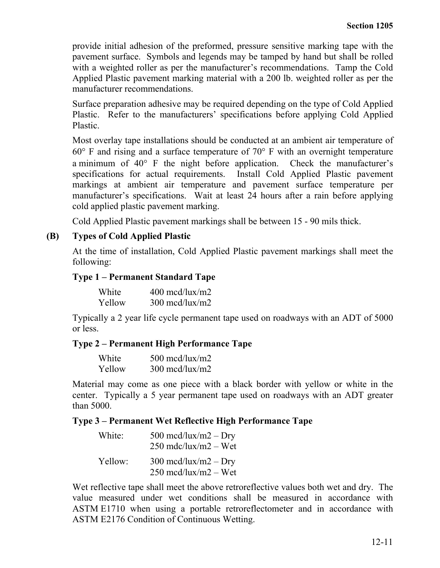provide initial adhesion of the preformed, pressure sensitive marking tape with the pavement surface. Symbols and legends may be tamped by hand but shall be rolled with a weighted roller as per the manufacturer's recommendations. Tamp the Cold Applied Plastic pavement marking material with a 200 lb. weighted roller as per the manufacturer recommendations.

Surface preparation adhesive may be required depending on the type of Cold Applied Plastic. Refer to the manufacturers' specifications before applying Cold Applied Plastic.

Most overlay tape installations should be conducted at an ambient air temperature of 60° F and rising and a surface temperature of 70° F with an overnight temperature a minimum of 40° F the night before application. Check the manufacturer's specifications for actual requirements. Install Cold Applied Plastic pavement markings at ambient air temperature and pavement surface temperature per manufacturer's specifications. Wait at least 24 hours after a rain before applying cold applied plastic pavement marking.

Cold Applied Plastic pavement markings shall be between 15 - 90 mils thick.

#### **(B) Types of Cold Applied Plastic**

At the time of installation, Cold Applied Plastic pavement markings shall meet the following:

#### **Type 1 – Permanent Standard Tape**

| White  | $400 \text{ med}/\text{lux}/\text{m}$ 2 |
|--------|-----------------------------------------|
| Yellow | $300 \text{ med}/\text{lux}/\text{m}$   |

Typically a 2 year life cycle permanent tape used on roadways with an ADT of 5000 or less.

#### **Type 2 – Permanent High Performance Tape**

| White  | $500 \text{ med}/\text{lux}/\text{m}$ |
|--------|---------------------------------------|
| Yellow | $300 \text{ med}/\text{lux}/\text{m}$ |

Material may come as one piece with a black border with yellow or white in the center. Typically a 5 year permanent tape used on roadways with an ADT greater than 5000.

#### **Type 3 – Permanent Wet Reflective High Performance Tape**

| White:  | 500 mcd/lux/m2 $-$ Dry<br>$250 \text{ mdc/lux/m2} - \text{Wet}$                |
|---------|--------------------------------------------------------------------------------|
| Yellow: | $300 \text{ med/lux/m2} - \text{Dry}$<br>$250 \text{ med/lux/m2} - \text{Wet}$ |

Wet reflective tape shall meet the above retroreflective values both wet and dry. The value measured under wet conditions shall be measured in accordance with ASTM E1710 when using a portable retroreflectometer and in accordance with ASTM E2176 Condition of Continuous Wetting.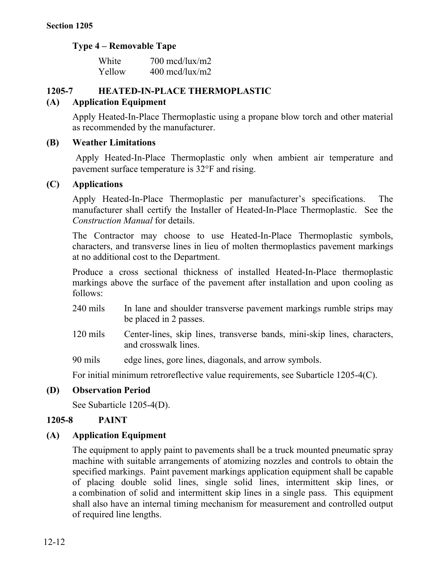# **Type 4 – Removable Tape**

| White  | $700 \text{ med}/\text{lux}/\text{m}$ |
|--------|---------------------------------------|
| Yellow | $400 \text{ med}/\text{lux}/\text{m}$ |

# **1205-7 HEATED-IN-PLACE THERMOPLASTIC**

# **(A) Application Equipment**

Apply Heated-In-Place Thermoplastic using a propane blow torch and other material as recommended by the manufacturer.

#### **(B) Weather Limitations**

Apply Heated-In-Place Thermoplastic only when ambient air temperature and pavement surface temperature is 32°F and rising.

#### **(C) Applications**

Apply Heated-In-Place Thermoplastic per manufacturer's specifications. The manufacturer shall certify the Installer of Heated-In-Place Thermoplastic. See the *Construction Manual* for details.

The Contractor may choose to use Heated-In-Place Thermoplastic symbols, characters, and transverse lines in lieu of molten thermoplastics pavement markings at no additional cost to the Department.

Produce a cross sectional thickness of installed Heated-In-Place thermoplastic markings above the surface of the pavement after installation and upon cooling as follows:

- 240 mils In lane and shoulder transverse pavement markings rumble strips may be placed in 2 passes.
- 120 mils Center-lines, skip lines, transverse bands, mini-skip lines, characters, and crosswalk lines.

90 mils edge lines, gore lines, diagonals, and arrow symbols.

For initial minimum retroreflective value requirements, see Subarticle 1205-4(C).

#### **(D) Observation Period**

See Subarticle 1205-4(D).

#### **1205-8 PAINT**

#### **(A) Application Equipment**

The equipment to apply paint to pavements shall be a truck mounted pneumatic spray machine with suitable arrangements of atomizing nozzles and controls to obtain the specified markings. Paint pavement markings application equipment shall be capable of placing double solid lines, single solid lines, intermittent skip lines, or a combination of solid and intermittent skip lines in a single pass. This equipment shall also have an internal timing mechanism for measurement and controlled output of required line lengths.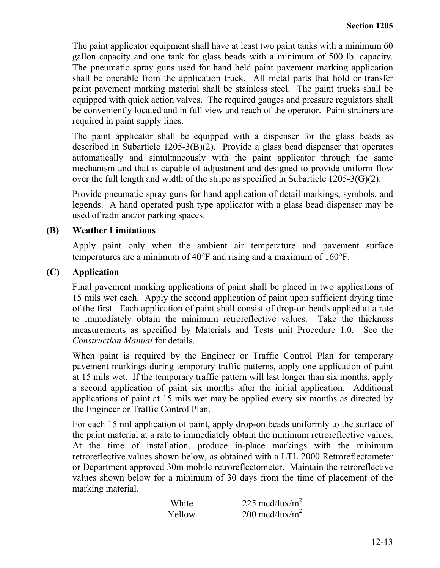The paint applicator equipment shall have at least two paint tanks with a minimum 60 gallon capacity and one tank for glass beads with a minimum of 500 lb. capacity. The pneumatic spray guns used for hand held paint pavement marking application shall be operable from the application truck. All metal parts that hold or transfer paint pavement marking material shall be stainless steel. The paint trucks shall be equipped with quick action valves. The required gauges and pressure regulators shall be conveniently located and in full view and reach of the operator. Paint strainers are required in paint supply lines.

The paint applicator shall be equipped with a dispenser for the glass beads as described in Subarticle 1205-3(B)(2). Provide a glass bead dispenser that operates automatically and simultaneously with the paint applicator through the same mechanism and that is capable of adjustment and designed to provide uniform flow over the full length and width of the stripe as specified in Subarticle 1205-3(G)(2).

Provide pneumatic spray guns for hand application of detail markings, symbols, and legends. A hand operated push type applicator with a glass bead dispenser may be used of radii and/or parking spaces.

#### **(B) Weather Limitations**

Apply paint only when the ambient air temperature and pavement surface temperatures are a minimum of 40°F and rising and a maximum of 160°F.

#### **(C) Application**

Final pavement marking applications of paint shall be placed in two applications of 15 mils wet each. Apply the second application of paint upon sufficient drying time of the first. Each application of paint shall consist of drop-on beads applied at a rate to immediately obtain the minimum retroreflective values. Take the thickness measurements as specified by Materials and Tests unit Procedure 1.0. See the *Construction Manual* for details.

When paint is required by the Engineer or Traffic Control Plan for temporary pavement markings during temporary traffic patterns, apply one application of paint at 15 mils wet. If the temporary traffic pattern will last longer than six months, apply a second application of paint six months after the initial application. Additional applications of paint at 15 mils wet may be applied every six months as directed by the Engineer or Traffic Control Plan.

For each 15 mil application of paint, apply drop-on beads uniformly to the surface of the paint material at a rate to immediately obtain the minimum retroreflective values. At the time of installation, produce in-place markings with the minimum retroreflective values shown below, as obtained with a LTL 2000 Retroreflectometer or Department approved 30m mobile retroreflectometer. Maintain the retroreflective values shown below for a minimum of 30 days from the time of placement of the marking material.

| White  | 225 mcd/lux/m <sup>2</sup> |
|--------|----------------------------|
| Yellow | 200 mcd/lux/m <sup>2</sup> |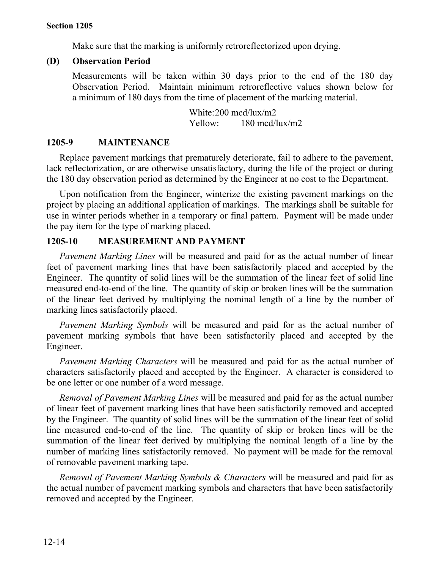Make sure that the marking is uniformly retroreflectorized upon drying.

#### **(D) Observation Period**

Measurements will be taken within 30 days prior to the end of the 180 day Observation Period. Maintain minimum retroreflective values shown below for a minimum of 180 days from the time of placement of the marking material.

> White:200 mcd/lux/m2 Yellow: 180 mcd/lux/m2

#### **1205-9 MAINTENANCE**

Replace pavement markings that prematurely deteriorate, fail to adhere to the pavement, lack reflectorization, or are otherwise unsatisfactory, during the life of the project or during the 180 day observation period as determined by the Engineer at no cost to the Department.

Upon notification from the Engineer, winterize the existing pavement markings on the project by placing an additional application of markings. The markings shall be suitable for use in winter periods whether in a temporary or final pattern. Payment will be made under the pay item for the type of marking placed.

#### **1205-10 MEASUREMENT AND PAYMENT**

*Pavement Marking Lines* will be measured and paid for as the actual number of linear feet of pavement marking lines that have been satisfactorily placed and accepted by the Engineer. The quantity of solid lines will be the summation of the linear feet of solid line measured end-to-end of the line. The quantity of skip or broken lines will be the summation of the linear feet derived by multiplying the nominal length of a line by the number of marking lines satisfactorily placed.

*Pavement Marking Symbols* will be measured and paid for as the actual number of pavement marking symbols that have been satisfactorily placed and accepted by the Engineer.

*Pavement Marking Characters* will be measured and paid for as the actual number of characters satisfactorily placed and accepted by the Engineer. A character is considered to be one letter or one number of a word message.

*Removal of Pavement Marking Lines* will be measured and paid for as the actual number of linear feet of pavement marking lines that have been satisfactorily removed and accepted by the Engineer. The quantity of solid lines will be the summation of the linear feet of solid line measured end-to-end of the line. The quantity of skip or broken lines will be the summation of the linear feet derived by multiplying the nominal length of a line by the number of marking lines satisfactorily removed. No payment will be made for the removal of removable pavement marking tape.

*Removal of Pavement Marking Symbols & Characters* will be measured and paid for as the actual number of pavement marking symbols and characters that have been satisfactorily removed and accepted by the Engineer.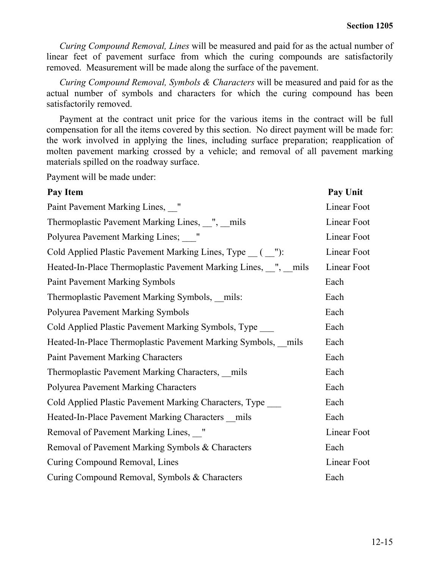*Curing Compound Removal, Lines* will be measured and paid for as the actual number of linear feet of pavement surface from which the curing compounds are satisfactorily removed. Measurement will be made along the surface of the pavement.

*Curing Compound Removal, Symbols & Characters* will be measured and paid for as the actual number of symbols and characters for which the curing compound has been satisfactorily removed.

Payment at the contract unit price for the various items in the contract will be full compensation for all the items covered by this section. No direct payment will be made for: the work involved in applying the lines, including surface preparation; reapplication of molten pavement marking crossed by a vehicle; and removal of all pavement marking materials spilled on the roadway surface.

Payment will be made under:

| Pay Item                                                        | Pay Unit    |
|-----------------------------------------------------------------|-------------|
| Paint Pavement Marking Lines, "                                 | Linear Foot |
| Thermoplastic Pavement Marking Lines, ", mils                   | Linear Foot |
| Polyurea Pavement Marking Lines; "                              | Linear Foot |
| Cold Applied Plastic Pavement Marking Lines, Type __ ( __"):    | Linear Foot |
| Heated-In-Place Thermoplastic Pavement Marking Lines, with mils | Linear Foot |
| <b>Paint Pavement Marking Symbols</b>                           | Each        |
| Thermoplastic Pavement Marking Symbols, mils:                   | Each        |
| <b>Polyurea Pavement Marking Symbols</b>                        | Each        |
| Cold Applied Plastic Pavement Marking Symbols, Type             | Each        |
| Heated-In-Place Thermoplastic Pavement Marking Symbols, mils    | Each        |
| <b>Paint Pavement Marking Characters</b>                        | Each        |
| Thermoplastic Pavement Marking Characters, mils                 | Each        |
| <b>Polyurea Pavement Marking Characters</b>                     | Each        |
| Cold Applied Plastic Pavement Marking Characters, Type          | Each        |
| Heated-In-Place Pavement Marking Characters mils                | Each        |
| Removal of Pavement Marking Lines, "                            | Linear Foot |
| Removal of Pavement Marking Symbols & Characters                | Each        |
| Curing Compound Removal, Lines                                  | Linear Foot |
| Curing Compound Removal, Symbols & Characters                   | Each        |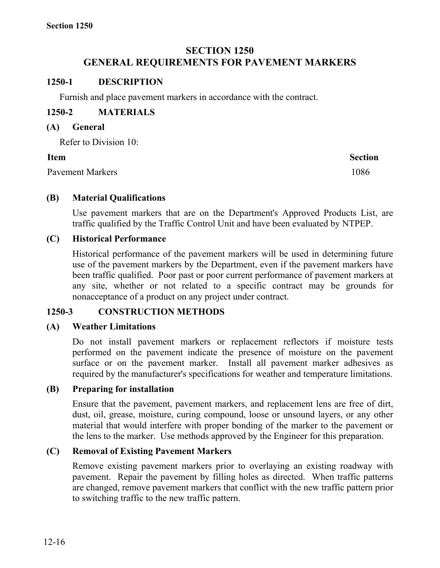# **SECTION 1250 GENERAL REQUIREMENTS FOR PAVEMENT MARKERS**

#### **1250-1 DESCRIPTION**

Furnish and place pavement markers in accordance with the contract.

# **1250-2 MATERIALS**

#### **(A) General**

Refer to Division 10:

#### **Item Section**

Pavement Markers 1086

# **(B) Material Qualifications**

Use pavement markers that are on the Department's Approved Products List, are traffic qualified by the Traffic Control Unit and have been evaluated by NTPEP.

# **(C) Historical Performance**

Historical performance of the pavement markers will be used in determining future use of the pavement markers by the Department, even if the pavement markers have been traffic qualified. Poor past or poor current performance of pavement markers at any site, whether or not related to a specific contract may be grounds for nonacceptance of a product on any project under contract.

#### **1250-3 CONSTRUCTION METHODS**

#### **(A) Weather Limitations**

Do not install pavement markers or replacement reflectors if moisture tests performed on the pavement indicate the presence of moisture on the pavement surface or on the pavement marker. Install all pavement marker adhesives as required by the manufacturer's specifications for weather and temperature limitations.

#### **(B) Preparing for installation**

Ensure that the pavement, pavement markers, and replacement lens are free of dirt, dust, oil, grease, moisture, curing compound, loose or unsound layers, or any other material that would interfere with proper bonding of the marker to the pavement or the lens to the marker. Use methods approved by the Engineer for this preparation.

# **(C) Removal of Existing Pavement Markers**

Remove existing pavement markers prior to overlaying an existing roadway with pavement. Repair the pavement by filling holes as directed. When traffic patterns are changed, remove pavement markers that conflict with the new traffic pattern prior to switching traffic to the new traffic pattern.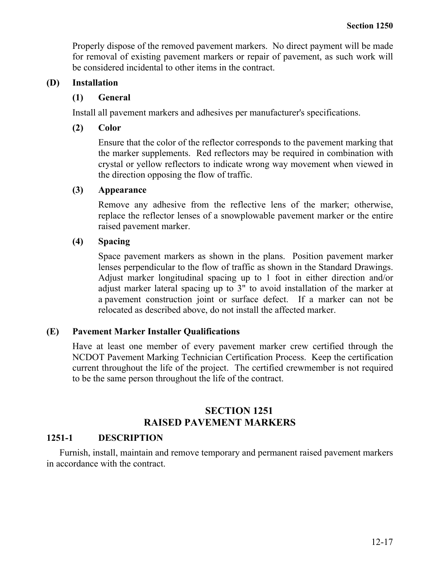Properly dispose of the removed pavement markers. No direct payment will be made for removal of existing pavement markers or repair of pavement, as such work will be considered incidental to other items in the contract.

#### **(D) Installation**

#### **(1) General**

Install all pavement markers and adhesives per manufacturer's specifications.

# **(2) Color**

Ensure that the color of the reflector corresponds to the pavement marking that the marker supplements. Red reflectors may be required in combination with crystal or yellow reflectors to indicate wrong way movement when viewed in the direction opposing the flow of traffic.

# **(3) Appearance**

Remove any adhesive from the reflective lens of the marker; otherwise, replace the reflector lenses of a snowplowable pavement marker or the entire raised pavement marker.

# **(4) Spacing**

Space pavement markers as shown in the plans. Position pavement marker lenses perpendicular to the flow of traffic as shown in the Standard Drawings. Adjust marker longitudinal spacing up to 1 foot in either direction and/or adjust marker lateral spacing up to 3" to avoid installation of the marker at a pavement construction joint or surface defect. If a marker can not be relocated as described above, do not install the affected marker.

# **(E) Pavement Marker Installer Qualifications**

Have at least one member of every pavement marker crew certified through the NCDOT Pavement Marking Technician Certification Process. Keep the certification current throughout the life of the project. The certified crewmember is not required to be the same person throughout the life of the contract.

# **SECTION 1251 RAISED PAVEMENT MARKERS**

# **1251-1 DESCRIPTION**

Furnish, install, maintain and remove temporary and permanent raised pavement markers in accordance with the contract.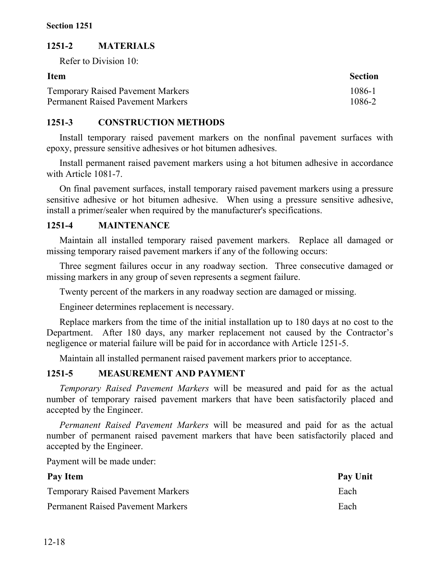# **1251-2 MATERIALS**

Refer to Division 10:

| <b>Item</b>                              | <b>Section</b> |
|------------------------------------------|----------------|
| <b>Temporary Raised Pavement Markers</b> | 1086-1         |
| <b>Permanent Raised Pavement Markers</b> | 1086-2         |

#### **1251-3 CONSTRUCTION METHODS**

Install temporary raised pavement markers on the nonfinal pavement surfaces with epoxy, pressure sensitive adhesives or hot bitumen adhesives.

Install permanent raised pavement markers using a hot bitumen adhesive in accordance with Article 1081-7.

On final pavement surfaces, install temporary raised pavement markers using a pressure sensitive adhesive or hot bitumen adhesive. When using a pressure sensitive adhesive, install a primer/sealer when required by the manufacturer's specifications.

# **1251-4 MAINTENANCE**

Maintain all installed temporary raised pavement markers. Replace all damaged or missing temporary raised pavement markers if any of the following occurs:

Three segment failures occur in any roadway section.Three consecutive damaged or missing markers in any group of seven represents a segment failure.

Twenty percent of the markers in any roadway section are damaged or missing.

Engineer determines replacement is necessary.

Replace markers from the time of the initial installation up to 180 days at no cost to the Department. After 180 days, any marker replacement not caused by the Contractor's negligence or material failure will be paid for in accordance with Article 1251-5.

Maintain all installed permanent raised pavement markers prior to acceptance.

# **1251-5 MEASUREMENT AND PAYMENT**

*Temporary Raised Pavement Markers* will be measured and paid for as the actual number of temporary raised pavement markers that have been satisfactorily placed and accepted by the Engineer.

*Permanent Raised Pavement Markers* will be measured and paid for as the actual number of permanent raised pavement markers that have been satisfactorily placed and accepted by the Engineer.

Payment will be made under:

| Pay Item                                 | Pay Unit |
|------------------------------------------|----------|
| <b>Temporary Raised Pavement Markers</b> | Each     |
| <b>Permanent Raised Pavement Markers</b> | Each     |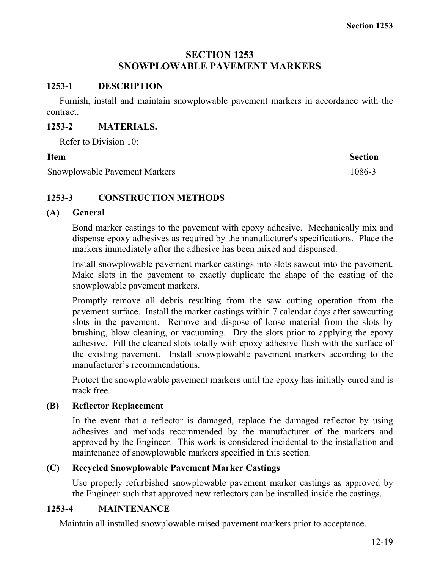#### **SECTION 1253 SNOWPLOWABLE PAVEMENT MARKERS**

#### **1253-1 DESCRIPTION**

Furnish, install and maintain snowplowable pavement markers in accordance with the contract.

#### **1253-2 MATERIALS.**

Refer to Division 10:

Snowplowable Pavement Markers 1086-3

**Item Section** 

# **1253-3 CONSTRUCTION METHODS**

#### **(A) General**

Bond marker castings to the pavement with epoxy adhesive. Mechanically mix and dispense epoxy adhesives as required by the manufacturer's specifications. Place the markers immediately after the adhesive has been mixed and dispensed.

Install snowplowable pavement marker castings into slots sawcut into the pavement. Make slots in the pavement to exactly duplicate the shape of the casting of the snowplowable pavement markers.

Promptly remove all debris resulting from the saw cutting operation from the pavement surface. Install the marker castings within 7 calendar days after sawcutting slots in the pavement. Remove and dispose of loose material from the slots by brushing, blow cleaning, or vacuuming. Dry the slots prior to applying the epoxy adhesive. Fill the cleaned slots totally with epoxy adhesive flush with the surface of the existing pavement. Install snowplowable pavement markers according to the manufacturer's recommendations.

Protect the snowplowable pavement markers until the epoxy has initially cured and is track free.

#### **(B) Reflector Replacement**

In the event that a reflector is damaged, replace the damaged reflector by using adhesives and methods recommended by the manufacturer of the markers and approved by the Engineer. This work is considered incidental to the installation and maintenance of snowplowable markers specified in this section.

#### **(C) Recycled Snowplowable Pavement Marker Castings**

Use properly refurbished snowplowable pavement marker castings as approved by the Engineer such that approved new reflectors can be installed inside the castings.

#### **1253-4 MAINTENANCE**

Maintain all installed snowplowable raised pavement markers prior to acceptance.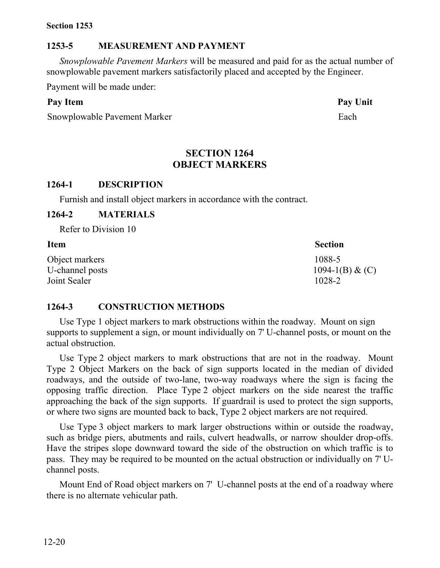#### **Section 1253**

#### **1253-5 MEASUREMENT AND PAYMENT**

*Snowplowable Pavement Markers* will be measured and paid for as the actual number of snowplowable pavement markers satisfactorily placed and accepted by the Engineer.

Payment will be made under:

#### **Pay Item Pay Unit**

Snowplowable Pavement Marker Each

#### **SECTION 1264 OBJECT MARKERS**

#### **1264-1 DESCRIPTION**

Furnish and install object markers in accordance with the contract.

#### **1264-2 MATERIALS**

Refer to Division 10

| <b>Item</b>     | <b>Section</b>    |
|-----------------|-------------------|
| Object markers  | 1088-5            |
| U-channel posts | 1094-1(B) & $(C)$ |
| Joint Sealer    | 1028-2            |

#### **1264-3 CONSTRUCTION METHODS**

Use Type 1 object markers to mark obstructions within the roadway. Mount on sign supports to supplement a sign, or mount individually on 7' U-channel posts, or mount on the actual obstruction.

Use Type 2 object markers to mark obstructions that are not in the roadway. Mount Type 2 Object Markers on the back of sign supports located in the median of divided roadways, and the outside of two-lane, two-way roadways where the sign is facing the opposing traffic direction. Place Type 2 object markers on the side nearest the traffic approaching the back of the sign supports. If guardrail is used to protect the sign supports, or where two signs are mounted back to back, Type 2 object markers are not required.

Use Type 3 object markers to mark larger obstructions within or outside the roadway, such as bridge piers, abutments and rails, culvert headwalls, or narrow shoulder drop-offs. Have the stripes slope downward toward the side of the obstruction on which traffic is to pass. They may be required to be mounted on the actual obstruction or individually on 7' Uchannel posts.

Mount End of Road object markers on 7' U-channel posts at the end of a roadway where there is no alternate vehicular path.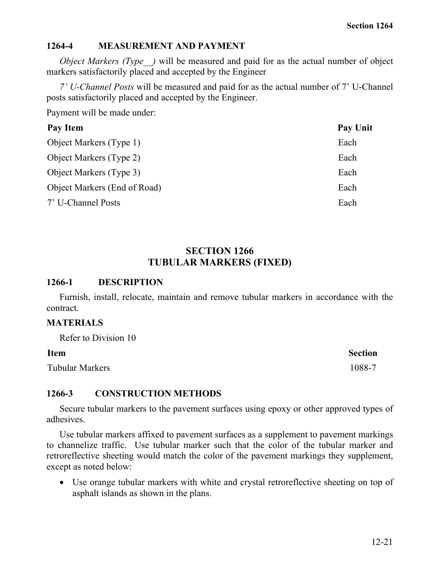#### **1264-4 MEASUREMENT AND PAYMENT**

*Object Markers (Type )* will be measured and paid for as the actual number of object markers satisfactorily placed and accepted by the Engineer

*7' U-Channel Posts* will be measured and paid for as the actual number of 7' U-Channel posts satisfactorily placed and accepted by the Engineer.

Payment will be made under:

| Pay Item                       | <b>Pay Unit</b> |
|--------------------------------|-----------------|
| Object Markers (Type 1)        | Each            |
| <b>Object Markers (Type 2)</b> | Each            |
| Object Markers (Type 3)        | Each            |
| Object Markers (End of Road)   | Each            |
| 7' U-Channel Posts             | Each            |

#### **SECTION 1266 TUBULAR MARKERS (FIXED)**

#### **1266-1 DESCRIPTION**

Furnish, install, relocate, maintain and remove tubular markers in accordance with the contract.

#### **MATERIALS**

Refer to Division 10

Tubular Markers 1088-7

**Item Section** 

# **1266-3 CONSTRUCTION METHODS**

Secure tubular markers to the pavement surfaces using epoxy or other approved types of adhesives.

Use tubular markers affixed to pavement surfaces as a supplement to pavement markings to channelize traffic. Use tubular marker such that the color of the tubular marker and retroreflective sheeting would match the color of the pavement markings they supplement, except as noted below:

• Use orange tubular markers with white and crystal retroreflective sheeting on top of asphalt islands as shown in the plans.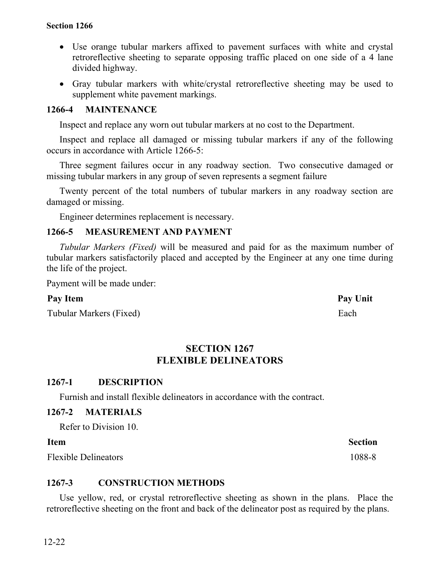- Use orange tubular markers affixed to pavement surfaces with white and crystal retroreflective sheeting to separate opposing traffic placed on one side of a 4 lane divided highway.
- Gray tubular markers with white/crystal retroreflective sheeting may be used to supplement white pavement markings.

# **1266-4 MAINTENANCE**

Inspect and replace any worn out tubular markers at no cost to the Department.

Inspect and replace all damaged or missing tubular markers if any of the following occurs in accordance with Article 1266-5:

Three segment failures occur in any roadway section. Two consecutive damaged or missing tubular markers in any group of seven represents a segment failure

Twenty percent of the total numbers of tubular markers in any roadway section are damaged or missing.

Engineer determines replacement is necessary.

# **1266-5 MEASUREMENT AND PAYMENT**

*Tubular Markers (Fixed)* will be measured and paid for as the maximum number of tubular markers satisfactorily placed and accepted by the Engineer at any one time during the life of the project.

Payment will be made under:

Tubular Markers (Fixed) Each

# **SECTION 1267 FLEXIBLE DELINEATORS**

# **1267-1 DESCRIPTION**

Furnish and install flexible delineators in accordance with the contract.

#### **1267-2 MATERIALS**

Refer to Division 10.

#### **Item Section**

Flexible Delineators 1088-8

# **1267-3 CONSTRUCTION METHODS**

Use yellow, red, or crystal retroreflective sheeting as shown in the plans. Place the retroreflective sheeting on the front and back of the delineator post as required by the plans.

Pay Item **Pay Unit**